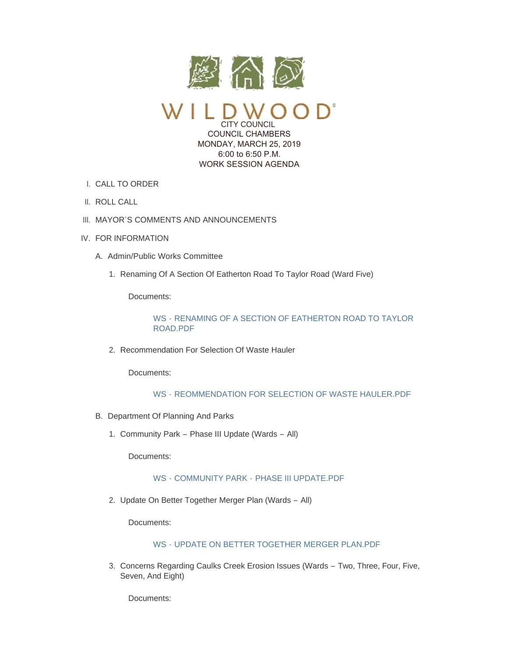

CITY COUNCIL COUNCIL CHAMBERS MONDAY, MARCH 25, 2019 6:00 to 6:50 P.M. WORK SESSION AGENDA

- CALL TO ORDER I.
- II. ROLL CALL
- III. MAYOR'S COMMENTS AND ANNOUNCEMENTS
- IV. FOR INFORMATION
	- A. Admin/Public Works Committee
		- 1. Renaming Of A Section Of Eatherton Road To Taylor Road (Ward Five)

Documents:

WS - [RENAMING OF A SECTION OF EATHERTON ROAD TO TAYLOR](https://www.cityofwildwood.com/AgendaCenter/ViewFile/Item/19510?fileID=25749)  ROAD.PDF

2. Recommendation For Selection Of Waste Hauler

Documents:

# WS - [REOMMENDATION FOR SELECTION OF WASTE HAULER.PDF](https://www.cityofwildwood.com/AgendaCenter/ViewFile/Item/19511?fileID=25761)

- B. Department Of Planning And Parks
	- 1. Community Park Phase III Update (Wards All)

Documents:

# WS - COMMUNITY PARK - [PHASE III UPDATE.PDF](https://www.cityofwildwood.com/AgendaCenter/ViewFile/Item/19513?fileID=25719)

2. Update On Better Together Merger Plan (Wards - All)

Documents:

## WS - [UPDATE ON BETTER TOGETHER MERGER PLAN.PDF](https://www.cityofwildwood.com/AgendaCenter/ViewFile/Item/19514?fileID=25751)

3. Concerns Regarding Caulks Creek Erosion Issues (Wards - Two, Three, Four, Five, Seven, And Eight)

Documents: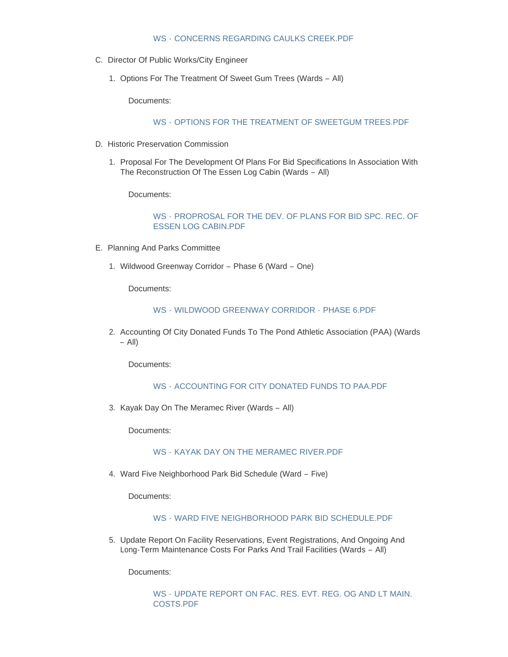#### WS - [CONCERNS REGARDING CAULKS CREEK.PDF](https://www.cityofwildwood.com/AgendaCenter/ViewFile/Item/19515?fileID=25720)

- C. Director Of Public Works/City Engineer
	- 1. Options For The Treatment Of Sweet Gum Trees (Wards All)

Documents:

WS - [OPTIONS FOR THE TREATMENT OF SWEETGUM TREES.PDF](https://www.cityofwildwood.com/AgendaCenter/ViewFile/Item/19517?fileID=25750)

- D. Historic Preservation Commission
	- 1. Proposal For The Development Of Plans For Bid Specifications In Association With The Reconstruction Of The Essen Log Cabin (Wards – All)

Documents:

WS - [PROPROSAL FOR THE DEV. OF PLANS FOR BID SPC. REC. OF](https://www.cityofwildwood.com/AgendaCenter/ViewFile/Item/19519?fileID=25721)  ESSEN LOG CABIN.PDF

- E. Planning And Parks Committee
	- 1. Wildwood Greenway Corridor Phase 6 (Ward One)

Documents:

WS - [WILDWOOD GREENWAY CORRIDOR -](https://www.cityofwildwood.com/AgendaCenter/ViewFile/Item/19521?fileID=25722) PHASE 6.PDF

2. Accounting Of City Donated Funds To The Pond Athletic Association (PAA) (Wards – All)

Documents:

WS - ACCOUNTING FOR CITY DONATED FUNDS TO PAA PDF

3. Kayak Day On The Meramec River (Wards - All)

Documents:

## WS - [KAYAK DAY ON THE MERAMEC RIVER.PDF](https://www.cityofwildwood.com/AgendaCenter/ViewFile/Item/19523?fileID=25724)

Ward Five Neighborhood Park Bid Schedule (Ward – Five) 4.

Documents:

### WS - [WARD FIVE NEIGHBORHOOD PARK BID SCHEDULE.PDF](https://www.cityofwildwood.com/AgendaCenter/ViewFile/Item/19524?fileID=25725)

5. Update Report On Facility Reservations, Event Registrations, And Ongoing And Long-Term Maintenance Costs For Parks And Trail Facilities (Wards – All)

Documents:

WS - [UPDATE REPORT ON FAC. RES. EVT. REG. OG AND LT MAIN.](https://www.cityofwildwood.com/AgendaCenter/ViewFile/Item/19525?fileID=25726)  COSTS.PDF